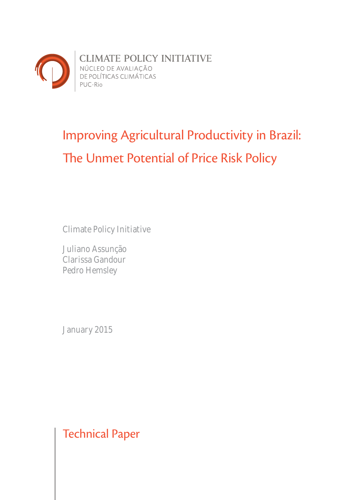

# Improving Agricultural Productivity in Brazil: The Unmet Potential of Price Risk Policy

Climate Policy Initiative

Juliano Assunção Clarissa Gandour Pedro Hemsley

January 2015

Technical Paper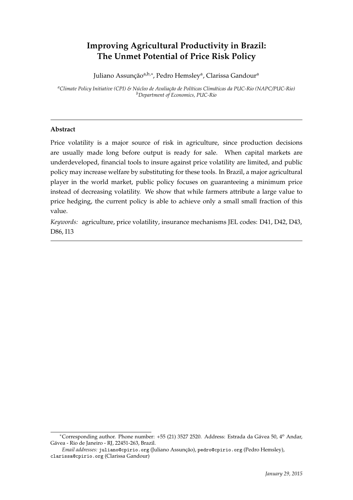# **Improving Agricultural Productivity in Brazil: The Unmet Potential of Price Risk Policy**

Juliano Assunção<sup>a,b,∗</sup>, Pedro Hemsleyª, Clarissa Gandourª

*<sup>a</sup>Climate Policy Initiative (CPI) & Núcleo de Avaliação de Políticas Climáticas da PUC-Rio (NAPC/PUC-Rio) <sup>b</sup>Department of Economics, PUC-Rio*

# **Abstract**

Price volatility is a major source of risk in agriculture, since production decisions are usually made long before output is ready for sale. When capital markets are underdeveloped, financial tools to insure against price volatility are limited, and public policy may increase welfare by substituting for these tools. In Brazil, a major agricultural player in the world market, public policy focuses on guaranteeing a minimum price instead of decreasing volatility. We show that while farmers attribute a large value to price hedging, the current policy is able to achieve only a small small fraction of this value.

*Keywords:* agriculture, price volatility, insurance mechanisms JEL codes: D41, D42, D43, D86, I13

<sup>∗</sup>Corresponding author. Phone number: +55 (21) 3527 2520. Address: Estrada da Gávea 50, 4<sup>o</sup> Andar, Gávea - Rio de Janeiro - RJ, 22451-263, Brazil.

*Email addresses:* juliano@cpirio.org (Juliano Assunção), pedro@cpirio.org (Pedro Hemsley), clarissa@cpirio.org (Clarissa Gandour)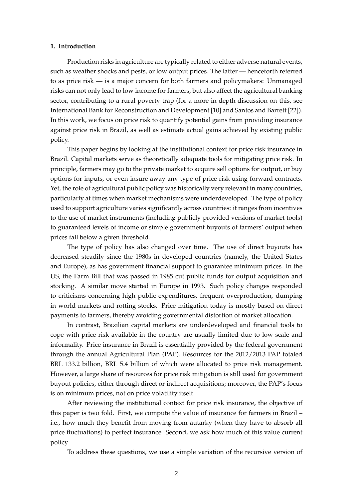#### **1. Introduction**

Production risks in agriculture are typically related to either adverse natural events, such as weather shocks and pests, or low output prices. The latter — henceforth referred to as price risk — is a major concern for both farmers and policymakers: Unmanaged risks can not only lead to low income for farmers, but also affect the agricultural banking sector, contributing to a rural poverty trap (for a more in-depth discussion on this, see International Bank for Reconstruction and Development [10] and Santos and Barrett [22]). In this work, we focus on price risk to quantify potential gains from providing insurance against price risk in Brazil, as well as estimate actual gains achieved by existing public policy.

This paper begins by looking at the institutional context for price risk insurance in Brazil. Capital markets serve as theoretically adequate tools for mitigating price risk. In principle, farmers may go to the private market to acquire sell options for output, or buy options for inputs, or even insure away any type of price risk using forward contracts. Yet, the role of agricultural public policy was historically very relevant in many countries, particularly at times when market mechanisms were underdeveloped. The type of policy used to support agriculture varies significantly across countries: it ranges from incentives to the use of market instruments (including publicly-provided versions of market tools) to guaranteed levels of income or simple government buyouts of farmers' output when prices fall below a given threshold.

The type of policy has also changed over time. The use of direct buyouts has decreased steadily since the 1980s in developed countries (namely, the United States and Europe), as has government financial support to guarantee minimum prices. In the US, the Farm Bill that was passed in 1985 cut public funds for output acquisition and stocking. A similar move started in Europe in 1993. Such policy changes responded to criticisms concerning high public expenditures, frequent overproduction, dumping in world markets and rotting stocks. Price mitigation today is mostly based on direct payments to farmers, thereby avoiding governmental distortion of market allocation.

In contrast, Brazilian capital markets are underdeveloped and financial tools to cope with price risk available in the country are usually limited due to low scale and informality. Price insurance in Brazil is essentially provided by the federal government through the annual Agricultural Plan (PAP). Resources for the 2012/2013 PAP totaled BRL 133.2 billion, BRL 5.4 billion of which were allocated to price risk management. However, a large share of resources for price risk mitigation is still used for government buyout policies, either through direct or indirect acquisitions; moreover, the PAP's focus is on minimum prices, not on price volatility itself.

After reviewing the institutional context for price risk insurance, the objective of this paper is two fold. First, we compute the value of insurance for farmers in Brazil – i.e., how much they benefit from moving from autarky (when they have to absorb all price fluctuations) to perfect insurance. Second, we ask how much of this value current policy

To address these questions, we use a simple variation of the recursive version of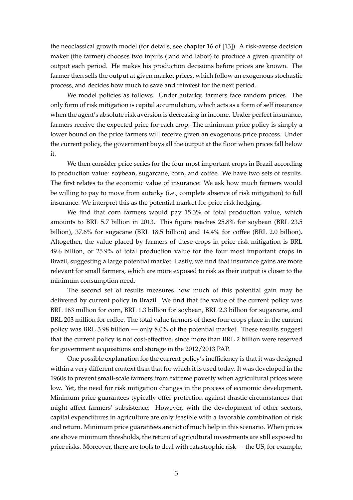the neoclassical growth model (for details, see chapter 16 of [13]). A risk-averse decision maker (the farmer) chooses two inputs (land and labor) to produce a given quantity of output each period. He makes his production decisions before prices are known. The farmer then sells the output at given market prices, which follow an exogenous stochastic process, and decides how much to save and reinvest for the next period.

We model policies as follows. Under autarky, farmers face random prices. The only form of risk mitigation is capital accumulation, which acts as a form of self insurance when the agent's absolute risk aversion is decreasing in income. Under perfect insurance, farmers receive the expected price for each crop. The minimum price policy is simply a lower bound on the price farmers will receive given an exogenous price process. Under the current policy, the government buys all the output at the floor when prices fall below it.

We then consider price series for the four most important crops in Brazil according to production value: soybean, sugarcane, corn, and coffee. We have two sets of results. The first relates to the economic value of insurance: We ask how much farmers would be willing to pay to move from autarky (i.e., complete absence of risk mitigation) to full insurance. We interpret this as the potential market for price risk hedging.

We find that corn farmers would pay 15.3% of total production value, which amounts to BRL 5.7 billion in 2013. This figure reaches 25.8% for soybean (BRL 23.5 billion), 37.6% for sugacane (BRL 18.5 billion) and 14.4% for coffee (BRL 2.0 billion). Altogether, the value placed by farmers of these crops in price risk mitigation is BRL 49.6 billion, or 25.9% of total production value for the four most important crops in Brazil, suggesting a large potential market. Lastly, we find that insurance gains are more relevant for small farmers, which are more exposed to risk as their output is closer to the minimum consumption need.

The second set of results measures how much of this potential gain may be delivered by current policy in Brazil. We find that the value of the current policy was BRL 163 million for corn, BRL 1.3 billion for soybean, BRL 2.3 billion for sugarcane, and BRL 203 million for coffee. The total value farmers of these four crops place in the current policy was BRL 3.98 billion — only 8.0% of the potential market. These results suggest that the current policy is not cost-effective, since more than BRL 2 billion were reserved for government acquisitions and storage in the 2012/2013 PAP.

One possible explanation for the current policy's inefficiency is that it was designed within a very different context than that for which it is used today. It was developed in the 1960s to prevent small-scale farmers from extreme poverty when agricultural prices were low. Yet, the need for risk mitigation changes in the process of economic development. Minimum price guarantees typically offer protection against drastic circumstances that might affect farmers' subsistence. However, with the development of other sectors, capital expenditures in agriculture are only feasible with a favorable combination of risk and return. Minimum price guarantees are not of much help in this scenario. When prices are above minimum thresholds, the return of agricultural investments are still exposed to price risks. Moreover, there are tools to deal with catastrophic risk — the US, for example,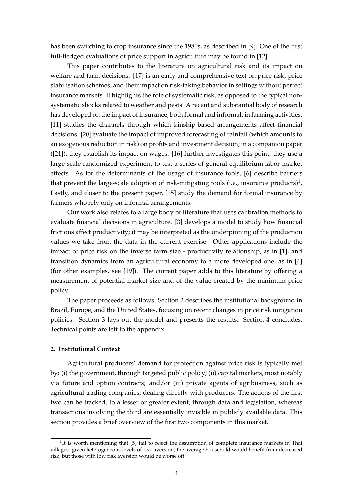has been switching to crop insurance since the 1980s, as described in [9]. One of the first full-fledged evaluations of price support in agriculture may be found in [12].

This paper contributes to the literature on agricultural risk and its impact on welfare and farm decisions. [17] is an early and comprehensive text on price risk, price stabilisation schemes, and their impact on risk-taking behavior in settings without perfect insurance markets. It highlights the role of systematic risk, as opposed to the typical nonsystematic shocks related to weather and pests. A recent and substantial body of research has developed on the impact of insurance, both formal and informal, in farming activities. [11] studies the channels through which kinship-based arrangements affect financial decisions. [20] evaluate the impact of improved forecasting of rainfall (which amounts to an exogenous reduction in risk) on profits and investment decision; in a companion paper ([21]), they establish its impact on wages. [16] further investigates this point: they use a large-scale randomized experiment to test a series of general equilibrium labor market effects. As for the determinants of the usage of insurance tools, [6] describe barriers that prevent the large-scale adoption of risk-mitigating tools (i.e., insurance products)<sup>1</sup>. Lastly, and closer to the present paper, [15] study the demand for formal insurance by farmers who rely only on informal arrangements.

Our work also relates to a large body of literature that uses calibration methods to evaluate financial decisions in agriculture. [3] develops a model to study how financial frictions affect productivity; it may be interpreted as the underpinning of the production values we take from the data in the current exercise. Other applications include the impact of price risk on the inverse farm size - productivity relationship, as in [1], and transition dynamics from an agricultural economy to a more developed one, as in [4] (for other examples, see [19]). The current paper adds to this literature by offering a measurement of potential market size and of the value created by the minimum price policy.

The paper proceeds as follows. Section 2 describes the institutional background in Brazil, Europe, and the United States, focusing on recent changes in price risk mitigation policies. Section 3 lays out the model and presents the results. Section 4 concludes. Technical points are left to the appendix.

# **2. Institutional Context**

Agricultural producers' demand for protection against price risk is typically met by: (i) the government, through targeted public policy; (ii) capital markets, most notably via future and option contracts; and/or (iii) private agents of agribusiness, such as agricultural trading companies, dealing directly with producers. The actions of the first two can be tracked, to a lesser or greater extent, through data and legislation, whereas transactions involving the third are essentially invisible in publicly available data. This section provides a brief overview of the first two components in this market.

<sup>&</sup>lt;sup>1</sup>It is worth mentioning that [5] fail to reject the assumption of complete insurance markets in Thai villages: given heterogeneous levels of risk aversion, the average household would benefit from decreased risk, but those with low risk aversion would be worse off.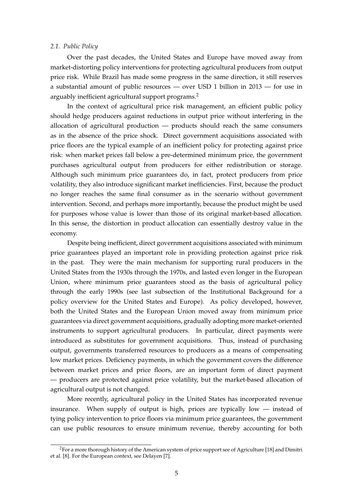#### *2.1. Public Policy*

Over the past decades, the United States and Europe have moved away from market-distorting policy interventions for protecting agricultural producers from output price risk. While Brazil has made some progress in the same direction, it still reserves a substantial amount of public resources — over USD 1 billion in 2013 — for use in arguably inefficient agricultural support programs.<sup>2</sup>

In the context of agricultural price risk management, an efficient public policy should hedge producers against reductions in output price without interfering in the allocation of agricultural production — products should reach the same consumers as in the absence of the price shock. Direct government acquisitions associated with price floors are the typical example of an inefficient policy for protecting against price risk: when market prices fall below a pre-determined minimum price, the government purchases agricultural output from producers for either redistribution or storage. Although such minimum price guarantees do, in fact, protect producers from price volatility, they also introduce significant market inefficiencies. First, because the product no longer reaches the same final consumer as in the scenario without government intervention. Second, and perhaps more importantly, because the product might be used for purposes whose value is lower than those of its original market-based allocation. In this sense, the distortion in product allocation can essentially destroy value in the economy.

Despite being inefficient, direct government acquisitions associated with minimum price guarantees played an important role in providing protection against price risk in the past. They were the main mechanism for supporting rural producers in the United States from the 1930s through the 1970s, and lasted even longer in the European Union, where minimum price guarantees stood as the basis of agricultural policy through the early 1990s (see last subsection of the Institutional Background for a policy overview for the United States and Europe). As policy developed, however, both the United States and the European Union moved away from minimum price guarantees via direct government acquisitions, gradually adopting more market-oriented instruments to support agricultural producers. In particular, direct payments were introduced as substitutes for government acquisitions. Thus, instead of purchasing output, governments transferred resources to producers as a means of compensating low market prices. Deficiency payments, in which the government covers the difference between market prices and price floors, are an important form of direct payment — producers are protected against price volatility, but the market-based allocation of agricultural output is not changed.

More recently, agricultural policy in the United States has incorporated revenue insurance. When supply of output is high, prices are typically low — instead of tying policy intervention to price floors via minimum price guarantees, the government can use public resources to ensure minimum revenue, thereby accounting for both

 ${}^{2}$ For a more thorough history of the American system of price support see of Agriculture [18] and Dimitri et al. [8]. For the European context, see Delayen [7].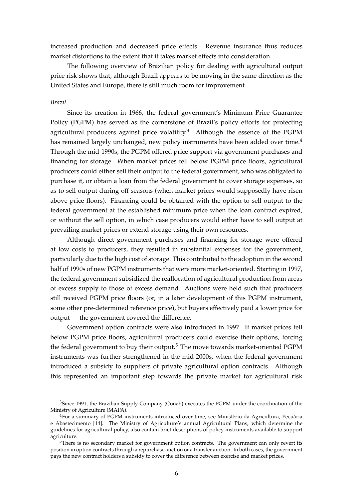increased production and decreased price effects. Revenue insurance thus reduces market distortions to the extent that it takes market effects into consideration.

The following overview of Brazilian policy for dealing with agricultural output price risk shows that, although Brazil appears to be moving in the same direction as the United States and Europe, there is still much room for improvement.

## *Brazil*

Since its creation in 1966, the federal government's Minimum Price Guarantee Policy (PGPM) has served as the cornerstone of Brazil's policy efforts for protecting agricultural producers against price volatility.<sup>3</sup> Although the essence of the PGPM has remained largely unchanged, new policy instruments have been added over time.<sup>4</sup> Through the mid-1990s, the PGPM offered price support via government purchases and financing for storage. When market prices fell below PGPM price floors, agricultural producers could either sell their output to the federal government, who was obligated to purchase it, or obtain a loan from the federal government to cover storage expenses, so as to sell output during off seasons (when market prices would supposedly have risen above price floors). Financing could be obtained with the option to sell output to the federal government at the established minimum price when the loan contract expired, or without the sell option, in which case producers would either have to sell output at prevailing market prices or extend storage using their own resources.

Although direct government purchases and financing for storage were offered at low costs to producers, they resulted in substantial expenses for the government, particularly due to the high cost of storage. This contributed to the adoption in the second half of 1990s of new PGPM instruments that were more market-oriented. Starting in 1997, the federal government subsidized the reallocation of agricultural production from areas of excess supply to those of excess demand. Auctions were held such that producers still received PGPM price floors (or, in a later development of this PGPM instrument, some other pre-determined reference price), but buyers effectively paid a lower price for output — the government covered the difference.

Government option contracts were also introduced in 1997. If market prices fell below PGPM price floors, agricultural producers could exercise their options, forcing the federal government to buy their output.<sup>5</sup> The move towards market-oriented PGPM instruments was further strengthened in the mid-2000s, when the federal government introduced a subsidy to suppliers of private agricultural option contracts. Although this represented an important step towards the private market for agricultural risk

 $3$ Since 1991, the Brazilian Supply Company (Conab) executes the PGPM under the coordination of the Ministry of Agriculture (MAPA).

<sup>4</sup>For a summary of PGPM instruments introduced over time, see Ministério da Agricultura, Pecuária e Abastecimento [14]. The Ministry of Agriculture's annual Agricultural Plans, which determine the guidelines for agricultural policy, also contain brief descriptions of policy instruments available to support agriculture.

<sup>&</sup>lt;sup>5</sup>There is no secondary market for government option contracts. The government can only revert its position in option contracts through a repurchase auction or a transfer auction. In both cases, the government pays the new contract holders a subsidy to cover the difference between exercise and market prices.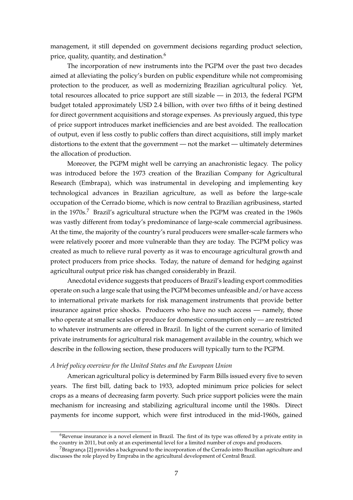management, it still depended on government decisions regarding product selection, price, quality, quantity, and destination.<sup>6</sup>

The incorporation of new instruments into the PGPM over the past two decades aimed at alleviating the policy's burden on public expenditure while not compromising protection to the producer, as well as modernizing Brazilian agricultural policy. Yet, total resources allocated to price support are still sizable — in 2013, the federal PGPM budget totaled approximately USD 2.4 billion, with over two fifths of it being destined for direct government acquisitions and storage expenses. As previously argued, this type of price support introduces market inefficiencies and are best avoided. The reallocation of output, even if less costly to public coffers than direct acquisitions, still imply market distortions to the extent that the government — not the market — ultimately determines the allocation of production.

Moreover, the PGPM might well be carrying an anachronistic legacy. The policy was introduced before the 1973 creation of the Brazilian Company for Agricultural Research (Embrapa), which was instrumental in developing and implementing key technological advances in Brazilian agriculture, as well as before the large-scale occupation of the Cerrado biome, which is now central to Brazilian agribusiness, started in the  $1970s$ .<sup>7</sup> Brazil's agricultural structure when the PGPM was created in the  $1960s$ was vastly different from today's predominance of large-scale commercial agribusiness. At the time, the majority of the country's rural producers were smaller-scale farmers who were relatively poorer and more vulnerable than they are today. The PGPM policy was created as much to relieve rural poverty as it was to encourage agricultural growth and protect producers from price shocks. Today, the nature of demand for hedging against agricultural output price risk has changed considerably in Brazil.

Anecdotal evidence suggests that producers of Brazil's leading export commodities operate on such a large scale that using the PGPM becomes unfeasible and/or have access to international private markets for risk management instruments that provide better insurance against price shocks. Producers who have no such access — namely, those who operate at smaller scales or produce for domestic consumption only — are restricted to whatever instruments are offered in Brazil. In light of the current scenario of limited private instruments for agricultural risk management available in the country, which we describe in the following section, these producers will typically turn to the PGPM.

## *A brief policy overview for the United States and the European Union*

American agricultural policy is determined by Farm Bills issued every five to seven years. The first bill, dating back to 1933, adopted minimum price policies for select crops as a means of decreasing farm poverty. Such price support policies were the main mechanism for increasing and stabilizing agricultural income until the 1980s. Direct payments for income support, which were first introduced in the mid-1960s, gained

 $6R$ evenue insurance is a novel element in Brazil. The first of its type was offered by a private entity in the country in 2011, but only at an experimental level for a limited number of crops and producers.

 $^7$ Bragrança [2] provides a background to the incorporation of the Cerrado intro Brazilian agriculture and discusses the role played by Empraba in the agricultural development of Central Brazil.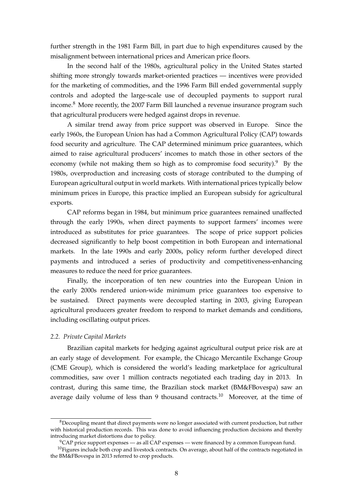further strength in the 1981 Farm Bill, in part due to high expenditures caused by the misalignment between international prices and American price floors.

In the second half of the 1980s, agricultural policy in the United States started shifting more strongly towards market-oriented practices — incentives were provided for the marketing of commodities, and the 1996 Farm Bill ended governmental supply controls and adopted the large-scale use of decoupled payments to support rural income.<sup>8</sup> More recently, the 2007 Farm Bill launched a revenue insurance program such that agricultural producers were hedged against drops in revenue.

A similar trend away from price support was observed in Europe. Since the early 1960s, the European Union has had a Common Agricultural Policy (CAP) towards food security and agriculture. The CAP determined minimum price guarantees, which aimed to raise agricultural producers' incomes to match those in other sectors of the economy (while not making them so high as to compromise food security). <sup>9</sup> By the 1980s, overproduction and increasing costs of storage contributed to the dumping of European agricultural output in world markets. With international prices typically below minimum prices in Europe, this practice implied an European subsidy for agricultural exports.

CAP reforms began in 1984, but minimum price guarantees remained unaffected through the early 1990s, when direct payments to support farmers' incomes were introduced as substitutes for price guarantees. The scope of price support policies decreased significantly to help boost competition in both European and international markets. In the late 1990s and early 2000s, policy reform further developed direct payments and introduced a series of productivity and competitiveness-enhancing measures to reduce the need for price guarantees.

Finally, the incorporation of ten new countries into the European Union in the early 2000s rendered union-wide minimum price guarantees too expensive to be sustained. Direct payments were decoupled starting in 2003, giving European agricultural producers greater freedom to respond to market demands and conditions, including oscillating output prices.

#### *2.2. Private Capital Markets*

Brazilian capital markets for hedging against agricultural output price risk are at an early stage of development. For example, the Chicago Mercantile Exchange Group (CME Group), which is considered the world's leading marketplace for agricultural commodities, saw over 1 million contracts negotiated each trading day in 2013. In contrast, during this same time, the Brazilian stock market (BM&FBovespa) saw an average daily volume of less than 9 thousand contracts.<sup>10</sup> Moreover, at the time of

<sup>&</sup>lt;sup>8</sup>Decoupling meant that direct payments were no longer associated with current production, but rather with historical production records. This was done to avoid influencing production decisions and thereby introducing market distortions due to policy.

<sup>9</sup>CAP price support expenses — as all CAP expenses — were financed by a common European fund.

 $10$ Figures include both crop and livestock contracts. On average, about half of the contracts negotiated in the BM&FBovespa in 2013 referred to crop products.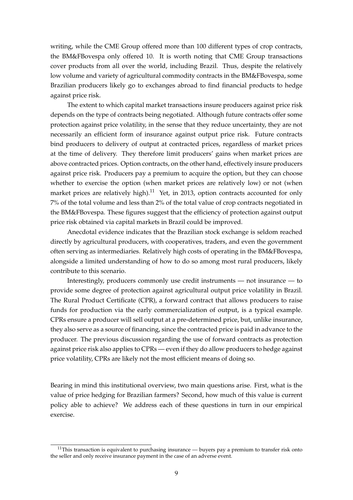writing, while the CME Group offered more than 100 different types of crop contracts, the BM&FBovespa only offered 10. It is worth noting that CME Group transactions cover products from all over the world, including Brazil. Thus, despite the relatively low volume and variety of agricultural commodity contracts in the BM&FBovespa, some Brazilian producers likely go to exchanges abroad to find financial products to hedge against price risk.

The extent to which capital market transactions insure producers against price risk depends on the type of contracts being negotiated. Although future contracts offer some protection against price volatility, in the sense that they reduce uncertainty, they are not necessarily an efficient form of insurance against output price risk. Future contracts bind producers to delivery of output at contracted prices, regardless of market prices at the time of delivery. They therefore limit producers' gains when market prices are above contracted prices. Option contracts, on the other hand, effectively insure producers against price risk. Producers pay a premium to acquire the option, but they can choose whether to exercise the option (when market prices are relatively low) or not (when market prices are relatively high).<sup>11</sup> Yet, in 2013, option contracts accounted for only 7% of the total volume and less than 2% of the total value of crop contracts negotiated in the BM&FBovespa. These figures suggest that the efficiency of protection against output price risk obtained via capital markets in Brazil could be improved.

Anecdotal evidence indicates that the Brazilian stock exchange is seldom reached directly by agricultural producers, with cooperatives, traders, and even the government often serving as intermediaries. Relatively high costs of operating in the BM&FBovespa, alongside a limited understanding of how to do so among most rural producers, likely contribute to this scenario.

Interestingly, producers commonly use credit instruments — not insurance — to provide some degree of protection against agricultural output price volatility in Brazil. The Rural Product Certificate (CPR), a forward contract that allows producers to raise funds for production via the early commercialization of output, is a typical example. CPRs ensure a producer will sell output at a pre-determined price, but, unlike insurance, they also serve as a source of financing, since the contracted price is paid in advance to the producer. The previous discussion regarding the use of forward contracts as protection against price risk also applies to CPRs — even if they do allow producers to hedge against price volatility, CPRs are likely not the most efficient means of doing so.

Bearing in mind this institutional overview, two main questions arise. First, what is the value of price hedging for Brazilian farmers? Second, how much of this value is current policy able to achieve? We address each of these questions in turn in our empirical exercise.

 $11$ This transaction is equivalent to purchasing insurance — buyers pay a premium to transfer risk onto the seller and only receive insurance payment in the case of an adverse event.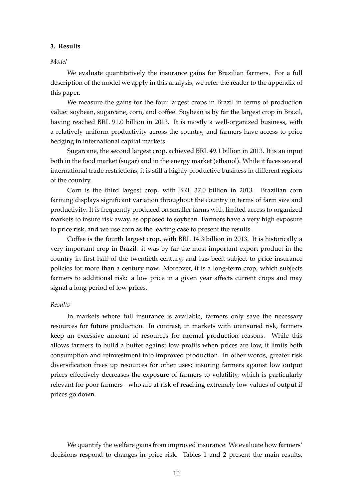#### **3. Results**

#### *Model*

We evaluate quantitatively the insurance gains for Brazilian farmers. For a full description of the model we apply in this analysis, we refer the reader to the appendix of this paper.

We measure the gains for the four largest crops in Brazil in terms of production value: soybean, sugarcane, corn, and coffee. Soybean is by far the largest crop in Brazil, having reached BRL 91.0 billion in 2013. It is mostly a well-organized business, with a relatively uniform productivity across the country, and farmers have access to price hedging in international capital markets.

Sugarcane, the second largest crop, achieved BRL 49.1 billion in 2013. It is an input both in the food market (sugar) and in the energy market (ethanol). While it faces several international trade restrictions, it is still a highly productive business in different regions of the country.

Corn is the third largest crop, with BRL 37.0 billion in 2013. Brazilian corn farming displays significant variation throughout the country in terms of farm size and productivity. It is frequently produced on smaller farms with limited access to organized markets to insure risk away, as opposed to soybean. Farmers have a very high exposure to price risk, and we use corn as the leading case to present the results.

Coffee is the fourth largest crop, with BRL 14.3 billion in 2013. It is historically a very important crop in Brazil: it was by far the most important export product in the country in first half of the twentieth century, and has been subject to price insurance policies for more than a century now. Moreover, it is a long-term crop, which subjects farmers to additional risk: a low price in a given year affects current crops and may signal a long period of low prices.

#### *Results*

In markets where full insurance is available, farmers only save the necessary resources for future production. In contrast, in markets with uninsured risk, farmers keep an excessive amount of resources for normal production reasons. While this allows farmers to build a buffer against low profits when prices are low, it limits both consumption and reinvestment into improved production. In other words, greater risk diversification frees up resources for other uses; insuring farmers against low output prices effectively decreases the exposure of farmers to volatility, which is particularly relevant for poor farmers - who are at risk of reaching extremely low values of output if prices go down.

We quantify the welfare gains from improved insurance: We evaluate how farmers' decisions respond to changes in price risk. Tables 1 and 2 present the main results,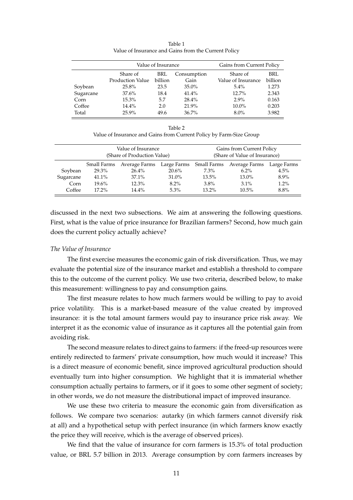|           | Value of Insurance      |         |             | Gains from Current Policy |         |  |
|-----------|-------------------------|---------|-------------|---------------------------|---------|--|
|           | Share of                | BRL     | Consumption | Share of                  | BRL     |  |
|           | <b>Production Value</b> | billion | Gain        | Value of Insurance        | billion |  |
| Soybean   | 25.8%                   | 23.5    | $35.0\%$    | $5.4\%$                   | 1.273   |  |
| Sugarcane | 37.6%                   | 18.4    | 41.4%       | 12.7%                     | 2.343   |  |
| Corn      | 15.3%                   | 5.7     | 28.4%       | $2.9\%$                   | 0.163   |  |
| Coffee    | 14.4%                   | 2.0     | 21.9%       | $10.0\%$                  | 0.203   |  |
| Total     | 25.9%                   | 49.6    | 36.7%       | $8.0\%$                   | 3.982   |  |

Table 1 Value of Insurance and Gains from the Current Policy

| Table 2                                                             |  |
|---------------------------------------------------------------------|--|
| Value of Insurance and Gains from Current Policy by Farm-Size Group |  |

|           |             | Value of Insurance<br>(Share of Production Value) |             | Gains from Current Policy<br>(Share of Value of Insurance) |               |             |  |
|-----------|-------------|---------------------------------------------------|-------------|------------------------------------------------------------|---------------|-------------|--|
|           | Small Farms | Average Farms                                     | Large Farms | Small Farms                                                | Average Farms | Large Farms |  |
| Soybean   | 29.3%       | 26.4%                                             | 20.6%       | $7.3\%$                                                    | $6.2\%$       | $4.5\%$     |  |
| Sugarcane | 41.1%       | 37.1%                                             | 31.0%       | $13.5\%$                                                   | 13.0%         | $8.9\%$     |  |
| Corn      | $19.6\%$    | 12.3%                                             | $8.2\%$     | $3.8\%$                                                    | $3.1\%$       | 1.2%        |  |
| Coffee    | $17.2\%$    | 14.4%                                             | $5.3\%$     | $13.2\%$                                                   | $10.5\%$      | 8.8%        |  |

discussed in the next two subsections. We aim at answering the following questions. First, what is the value of price insurance for Brazilian farmers? Second, how much gain does the current policy actually achieve?

# *The Value of Insurance*

The first exercise measures the economic gain of risk diversification. Thus, we may evaluate the potential size of the insurance market and establish a threshold to compare this to the outcome of the current policy. We use two criteria, described below, to make this measurement: willingness to pay and consumption gains.

The first measure relates to how much farmers would be willing to pay to avoid price volatility. This is a market-based measure of the value created by improved insurance: it is the total amount farmers would pay to insurance price risk away. We interpret it as the economic value of insurance as it captures all the potential gain from avoiding risk.

The second measure relates to direct gains to farmers: if the freed-up resources were entirely redirected to farmers' private consumption, how much would it increase? This is a direct measure of economic benefit, since improved agricultural production should eventually turn into higher consumption. We highlight that it is immaterial whether consumption actually pertains to farmers, or if it goes to some other segment of society; in other words, we do not measure the distributional impact of improved insurance.

We use these two criteria to measure the economic gain from diversification as follows. We compare two scenarios: autarky (in which farmers cannot diversify risk at all) and a hypothetical setup with perfect insurance (in which farmers know exactly the price they will receive, which is the average of observed prices).

We find that the value of insurance for corn farmers is 15.3% of total production value, or BRL 5.7 billion in 2013. Average consumption by corn farmers increases by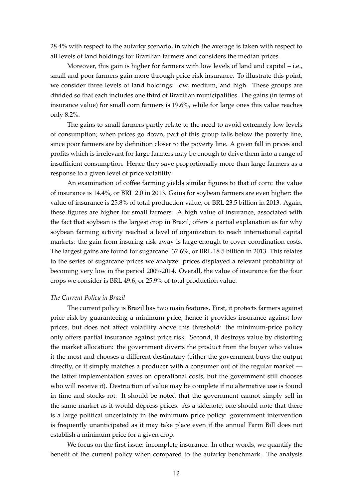28.4% with respect to the autarky scenario, in which the average is taken with respect to all levels of land holdings for Brazilian farmers and considers the median prices.

Moreover, this gain is higher for farmers with low levels of land and capital – i.e., small and poor farmers gain more through price risk insurance. To illustrate this point, we consider three levels of land holdings: low, medium, and high. These groups are divided so that each includes one third of Brazilian municipalities. The gains (in terms of insurance value) for small corn farmers is 19.6%, while for large ones this value reaches only 8.2%.

The gains to small farmers partly relate to the need to avoid extremely low levels of consumption; when prices go down, part of this group falls below the poverty line, since poor farmers are by definition closer to the poverty line. A given fall in prices and profits which is irrelevant for large farmers may be enough to drive them into a range of insufficient consumption. Hence they save proportionally more than large farmers as a response to a given level of price volatility.

An examination of coffee farming yields similar figures to that of corn: the value of insurance is 14.4%, or BRL 2.0 in 2013. Gains for soybean farmers are even higher: the value of insurance is 25.8% of total production value, or BRL 23.5 billion in 2013. Again, these figures are higher for small farmers. A high value of insurance, associated with the fact that soybean is the largest crop in Brazil, offers a partial explanation as for why soybean farming activity reached a level of organization to reach international capital markets: the gain from insuring risk away is large enough to cover coordination costs. The largest gains are found for sugarcane: 37.6%, or BRL 18.5 billion in 2013. This relates to the series of sugarcane prices we analyze: prices displayed a relevant probability of becoming very low in the period 2009-2014. Overall, the value of insurance for the four crops we consider is BRL 49.6, or 25.9% of total production value.

#### *The Current Policy in Brazil*

The current policy is Brazil has two main features. First, it protects farmers against price risk by guaranteeing a minimum price; hence it provides insurance against low prices, but does not affect volatility above this threshold: the minimum-price policy only offers partial insurance against price risk. Second, it destroys value by distorting the market allocation: the government diverts the product from the buyer who values it the most and chooses a different destinatary (either the government buys the output directly, or it simply matches a producer with a consumer out of the regular market the latter implementation saves on operational costs, but the government still chooses who will receive it). Destruction of value may be complete if no alternative use is found in time and stocks rot. It should be noted that the government cannot simply sell in the same market as it would depress prices. As a sidenote, one should note that there is a large political uncertainty in the minimum price policy: government intervention is frequently unanticipated as it may take place even if the annual Farm Bill does not establish a minimum price for a given crop.

We focus on the first issue: incomplete insurance. In other words, we quantify the benefit of the current policy when compared to the autarky benchmark. The analysis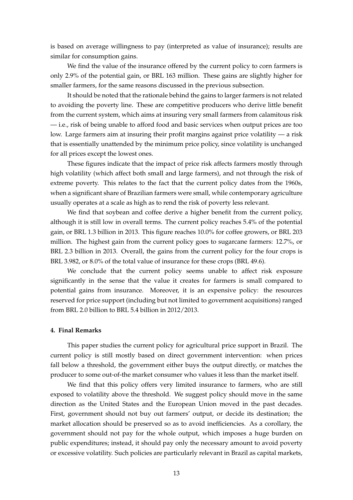is based on average willingness to pay (interpreted as value of insurance); results are similar for consumption gains.

We find the value of the insurance offered by the current policy to corn farmers is only 2.9% of the potential gain, or BRL 163 million. These gains are slightly higher for smaller farmers, for the same reasons discussed in the previous subsection.

It should be noted that the rationale behind the gains to larger farmers is not related to avoiding the poverty line. These are competitive producers who derive little benefit from the current system, which aims at insuring very small farmers from calamitous risk — i.e., risk of being unable to afford food and basic services when output prices are too low. Large farmers aim at insuring their profit margins against price volatility — a risk that is essentially unattended by the minimum price policy, since volatility is unchanged for all prices except the lowest ones.

These figures indicate that the impact of price risk affects farmers mostly through high volatility (which affect both small and large farmers), and not through the risk of extreme poverty. This relates to the fact that the current policy dates from the 1960s, when a significant share of Brazilian farmers were small, while contemporary agriculture usually operates at a scale as high as to rend the risk of poverty less relevant.

We find that soybean and coffee derive a higher benefit from the current policy, although it is still low in overall terms. The current policy reaches 5.4% of the potential gain, or BRL 1.3 billion in 2013. This figure reaches 10.0% for coffee growers, or BRL 203 million. The highest gain from the current policy goes to sugarcane farmers: 12.7%, or BRL 2.3 billion in 2013. Overall, the gains from the current policy for the four crops is BRL 3.982, or 8.0% of the total value of insurance for these crops (BRL 49.6).

We conclude that the current policy seems unable to affect risk exposure significantly in the sense that the value it creates for farmers is small compared to potential gains from insurance. Moreover, it is an expensive policy: the resources reserved for price support (including but not limited to government acquisitions) ranged from BRL 2.0 billion to BRL 5.4 billion in 2012/2013.

#### **4. Final Remarks**

This paper studies the current policy for agricultural price support in Brazil. The current policy is still mostly based on direct government intervention: when prices fall below a threshold, the government either buys the output directly, or matches the producer to some out-of-the market consumer who values it less than the market itself.

We find that this policy offers very limited insurance to farmers, who are still exposed to volatility above the threshold. We suggest policy should move in the same direction as the United States and the European Union moved in the past decades. First, government should not buy out farmers' output, or decide its destination; the market allocation should be preserved so as to avoid inefficiencies. As a corollary, the government should not pay for the whole output, which imposes a huge burden on public expenditures; instead, it should pay only the necessary amount to avoid poverty or excessive volatility. Such policies are particularly relevant in Brazil as capital markets,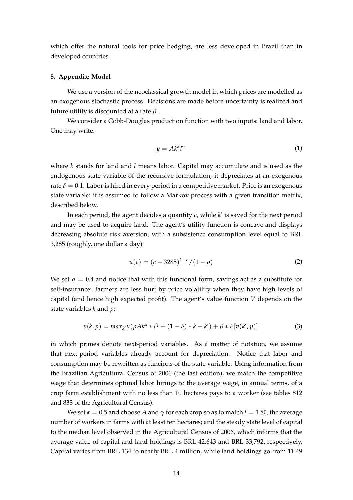which offer the natural tools for price hedging, are less developed in Brazil than in developed countries.

#### **5. Appendix: Model**

We use a version of the neoclassical growth model in which prices are modelled as an exogenous stochastic process. Decisions are made before uncertainty is realized and future utility is discounted at a rate *β*.

We consider a Cobb-Douglas production function with two inputs: land and labor. One may write:

$$
y = Ak^{\alpha}l^{\gamma} \tag{1}
$$

where *k* stands for land and *l* means labor. Capital may accumulate and is used as the endogenous state variable of the recursive formulation; it depreciates at an exogenous rate  $\delta = 0.1$ . Labor is hired in every period in a competitive market. Price is an exogenous state variable: it is assumed to follow a Markov process with a given transition matrix, described below.

In each period, the agent decides a quantity  $c$ , while  $k'$  is saved for the next period and may be used to acquire land. The agent's utility function is concave and displays decreasing absolute risk aversion, with a subsistence consumption level equal to BRL 3,285 (roughly, one dollar a day):

$$
u(c) = (c - 3285)^{1-\rho}/(1-\rho)
$$
 (2)

We set  $\rho = 0.4$  and notice that with this funcional form, savings act as a substitute for self-insurance: farmers are less hurt by price volatility when they have high levels of capital (and hence high expected profit). The agent's value function *V* depends on the state variables *k* and *p*:

$$
v(k,p) = max_{k'} u(pAk^{\alpha} * l^{\gamma} + (1-\delta) * k - k') + \beta * E[v(k',p)]
$$
\n(3)

in which primes denote next-period variables. As a matter of notation, we assume that next-period variables already account for depreciation. Notice that labor and consumption may be rewritten as funcions of the state variable. Using information from the Brazilian Agricultural Census of 2006 (the last edition), we match the competitive wage that determines optimal labor hirings to the average wage, in annual terms, of a crop farm establishment with no less than 10 hectares pays to a worker (see tables 812 and 833 of the Agricultural Census).

We set  $\alpha = 0.5$  and choose A and  $\gamma$  for each crop so as to match  $l = 1.80$ , the average number of workers in farms with at least ten hectares; and the steady state level of capital to the median level observed in the Agricultural Census of 2006, which informs that the average value of capital and land holdings is BRL 42,643 and BRL 33,792, respectively. Capital varies from BRL 134 to nearly BRL 4 million, while land holdings go from 11.49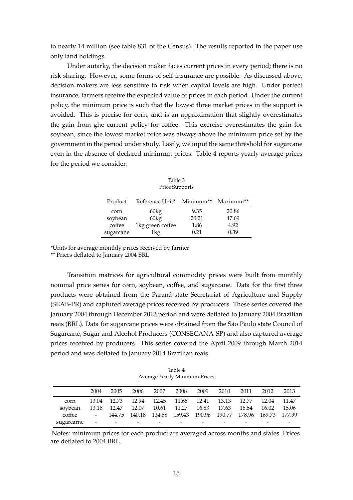to nearly 14 million (see table 831 of the Census). The results reported in the paper use only land holdings.

Under autarky, the decision maker faces current prices in every period; there is no risk sharing. However, some forms of self-insurance are possible. As discussed above, decision makers are less sensitive to risk when capital levels are high. Under perfect insurance, farmers receive the expected value of prices in each period. Under the current policy, the minimum price is such that the lowest three market prices in the support is avoided. This is precise for corn, and is an approximation that slightly overestimates the gain from ghe current policy for coffee. This exercise overestimates the gain for soybean, since the lowest market price was always above the minimum price set by the government in the period under study. Lastly, we input the same threshold for sugarcane even in the absence of declared minimum prices. Table 4 reports yearly average prices for the period we consider.

| Product   | Reference Unit*  | Minimum** | Maximum** |
|-----------|------------------|-----------|-----------|
| corn      | 60kg             | 9.35      | 20.86     |
| soybean   | 60kg             | 20.21     | 47.69     |
| coffee    | 1kg green coffee | 1.86      | 4.92      |
| sugarcane | 1kg              | 0.21      | 0.39      |

Table 3 Price Supports

\*Units for average monthly prices received by farmer

\*\* Prices deflated to January 2004 BRL

Transition matrices for agricultural commodity prices were built from monthly nominal price series for corn, soybean, coffee, and sugarcane. Data for the first three products were obtained from the Paraná state Secretariat of Agriculture and Supply (SEAB-PR) and captured average prices received by producers. These series covered the January 2004 through December 2013 period and were deflated to January 2004 Brazilian reais (BRL). Data for sugarcane prices were obtained from the São Paulo state Council of Sugarcane, Sugar and Alcohol Producers (CONSECANA-SP) and also captured average prices received by producers. This series covered the April 2009 through March 2014 period and was deflated to January 2014 Brazilian reais.

Table 4 Average Yearly Minimum Prices

|            | 2004                | 2005                          | 2006                                                           | 2007 | 2008                    | 2009  | 2010        | 2011  | 2012  | 2013  |
|------------|---------------------|-------------------------------|----------------------------------------------------------------|------|-------------------------|-------|-------------|-------|-------|-------|
| corn       |                     | 13.04 12.73                   |                                                                |      | 12.94 12.45 11.68 12.41 |       | 13.13 12.77 |       | 12.04 | 11.47 |
| soybean    |                     | 13.16 12.47 12.07 10.61 11.27 |                                                                |      |                         | 16.83 | 17.63       | 16.54 | 16.02 | 15.06 |
| coffee     | $\omega_{\rm{max}}$ |                               | 144.75 140.18 134.68 159.43 190.96 190.77 178.96 169.73 177.99 |      |                         |       |             |       |       |       |
| sugarcarne | $\sim$ $-$          | -                             |                                                                | -    |                         |       |             |       |       |       |

Notes: minimum prices for each product are averaged across months and states. Prices are deflated to 2004 BRL.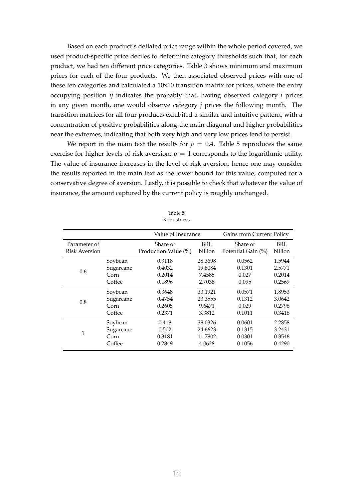Based on each product's deflated price range within the whole period covered, we used product-specific price deciles to determine category thresholds such that, for each product, we had ten different price categories. Table 3 shows minimum and maximum prices for each of the four products. We then associated observed prices with one of these ten categories and calculated a 10x10 transition matrix for prices, where the entry occupying position *ij* indicates the probably that, having observed category *i* prices in any given month, one would observe category *j* prices the following month. The transition matrices for all four products exhibited a similar and intuitive pattern, with a concentration of positive probabilities along the main diagonal and higher probabilities near the extremes, indicating that both very high and very low prices tend to persist.

We report in the main text the results for  $\rho = 0.4$ . Table 5 reproduces the same exercise for higher levels of risk aversion;  $\rho = 1$  corresponds to the logarithmic utility. The value of insurance increases in the level of risk aversion; hence one may consider the results reported in the main text as the lower bound for this value, computed for a conservative degree of aversion. Lastly, it is possible to check that whatever the value of insurance, the amount captured by the current policy is roughly unchanged.

|                      |           | Value of Insurance   |         | Gains from Current Policy |         |  |
|----------------------|-----------|----------------------|---------|---------------------------|---------|--|
| Parameter of         |           | Share of             | BRL     | Share of                  | BRL     |  |
| <b>Risk Aversion</b> |           | Production Value (%) | billion | Potential Gain (%)        | billion |  |
| 0.6                  | Soybean   | 0.3118               | 28.3698 | 0.0562                    | 1.5944  |  |
|                      | Sugarcane | 0.4032               | 19.8084 | 0.1301                    | 2.5771  |  |
|                      | Corn      | 0.2014               | 7.4585  | 0.027                     | 0.2014  |  |
|                      | Coffee    | 0.1896               | 2.7038  | 0.095                     | 0.2569  |  |
| 0.8                  | Soybean   | 0.3648               | 33.1921 | 0.0571                    | 1.8953  |  |
|                      | Sugarcane | 0.4754               | 23.3555 | 0.1312                    | 3.0642  |  |
|                      | Corn      | 0.2605               | 9.6471  | 0.029                     | 0.2798  |  |
|                      | Coffee    | 0.2371               | 3.3812  | 0.1011                    | 0.3418  |  |
| 1                    | Soybean   | 0.418                | 38.0326 | 0.0601                    | 2.2858  |  |
|                      | Sugarcane | 0.502                | 24.6623 | 0.1315                    | 3.2431  |  |
|                      | Corn      | 0.3181               | 11.7802 | 0.0301                    | 0.3546  |  |
|                      | Coffee    | 0.2849               | 4.0628  | 0.1056                    | 0.4290  |  |

Table 5 Robustness